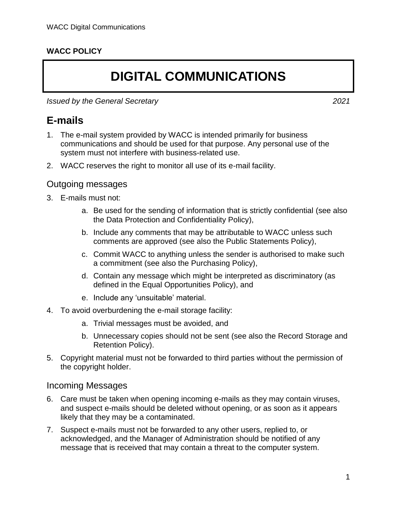#### **WACC POLICY**

# **DIGITAL COMMUNICATIONS**

*Issued by the General Secretary 2021*

### **E-mails**

- 1. The e-mail system provided by WACC is intended primarily for business communications and should be used for that purpose. Any personal use of the system must not interfere with business-related use.
- 2. WACC reserves the right to monitor all use of its e-mail facility.

#### Outgoing messages

- 3. E-mails must not:
	- a. Be used for the sending of information that is strictly confidential (see also the Data Protection and Confidentiality Policy),
	- b. Include any comments that may be attributable to WACC unless such comments are approved (see also the Public Statements Policy),
	- c. Commit WACC to anything unless the sender is authorised to make such a commitment (see also the Purchasing Policy),
	- d. Contain any message which might be interpreted as discriminatory (as defined in the Equal Opportunities Policy), and
	- e. Include any 'unsuitable' material.
- 4. To avoid overburdening the e-mail storage facility:
	- a. Trivial messages must be avoided, and
	- b. Unnecessary copies should not be sent (see also the Record Storage and Retention Policy).
- 5. Copyright material must not be forwarded to third parties without the permission of the copyright holder.

#### Incoming Messages

- 6. Care must be taken when opening incoming e-mails as they may contain viruses, and suspect e-mails should be deleted without opening, or as soon as it appears likely that they may be a contaminated.
- 7. Suspect e-mails must not be forwarded to any other users, replied to, or acknowledged, and the Manager of Administration should be notified of any message that is received that may contain a threat to the computer system.